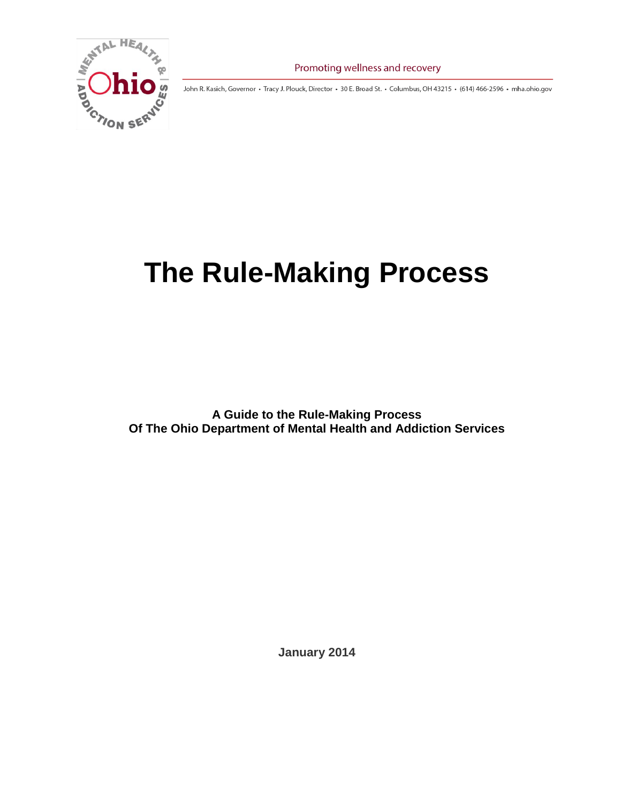

Promoting wellness and recovery

John R. Kasich, Governor • Tracy J. Plouck, Director • 30 E. Broad St. • Columbus, OH 43215 • (614) 466-2596 • mha.ohio.gov

# **The Rule-Making Process**

**A Guide to the Rule-Making Process Of The Ohio Department of Mental Health and Addiction Services**

**January 2014**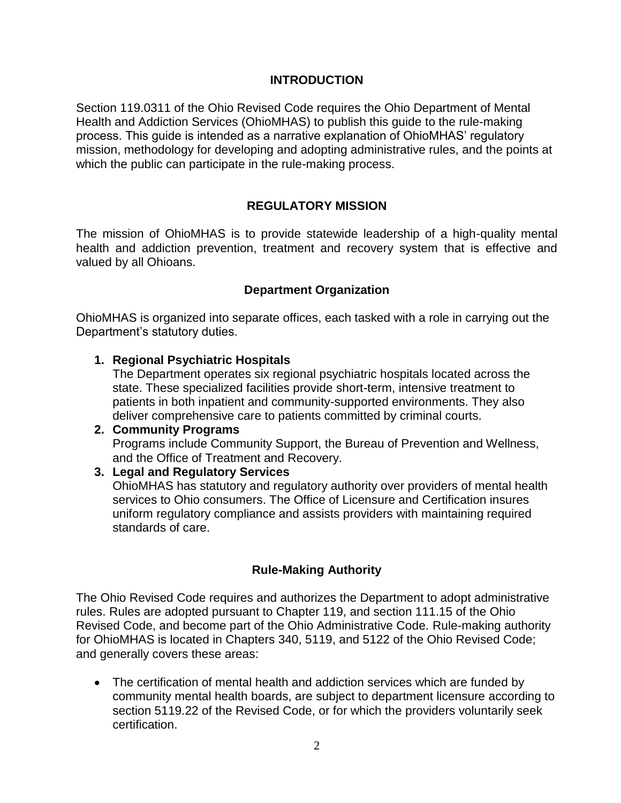## **INTRODUCTION**

Section 119.0311 of the Ohio Revised Code requires the Ohio Department of Mental Health and Addiction Services (OhioMHAS) to publish this guide to the rule-making process. This guide is intended as a narrative explanation of OhioMHAS' regulatory mission, methodology for developing and adopting administrative rules, and the points at which the public can participate in the rule-making process.

# **REGULATORY MISSION**

The mission of OhioMHAS is to provide statewide leadership of a high-quality mental health and addiction prevention, treatment and recovery system that is effective and valued by all Ohioans.

## **Department Organization**

OhioMHAS is organized into separate offices, each tasked with a role in carrying out the Department's statutory duties.

## **1. Regional Psychiatric Hospitals**

The Department operates six regional psychiatric hospitals located across the state. These specialized facilities provide short-term, intensive treatment to patients in both inpatient and community-supported environments. They also deliver comprehensive care to patients committed by criminal courts.

# **2. Community Programs** Programs include Community Support, the Bureau of Prevention and Wellness, and the Office of Treatment and Recovery.

## **3. Legal and Regulatory Services**

OhioMHAS has statutory and regulatory authority over providers of mental health services to Ohio consumers. The Office of Licensure and Certification insures uniform regulatory compliance and assists providers with maintaining required standards of care.

## **Rule-Making Authority**

The Ohio Revised Code requires and authorizes the Department to adopt administrative rules. Rules are adopted pursuant to Chapter 119, and section 111.15 of the Ohio Revised Code, and become part of the Ohio Administrative Code. Rule-making authority for OhioMHAS is located in Chapters 340, 5119, and 5122 of the Ohio Revised Code; and generally covers these areas:

 The certification of mental health and addiction services which are funded by community mental health boards, are subject to department licensure according to section 5119.22 of the Revised Code, or for which the providers voluntarily seek certification.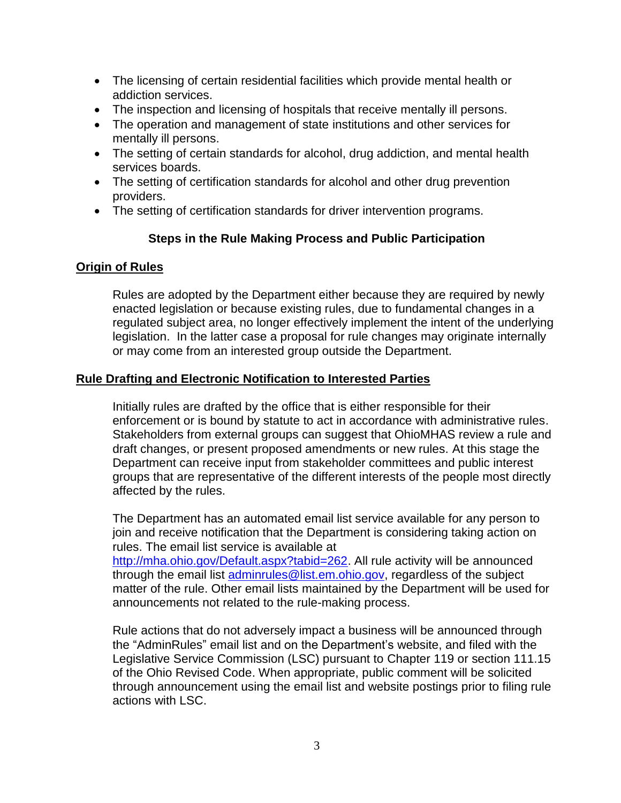- The licensing of certain residential facilities which provide mental health or addiction services.
- The inspection and licensing of hospitals that receive mentally ill persons.
- The operation and management of state institutions and other services for mentally ill persons.
- The setting of certain standards for alcohol, drug addiction, and mental health services boards.
- The setting of certification standards for alcohol and other drug prevention providers.
- The setting of certification standards for driver intervention programs.

# **Steps in the Rule Making Process and Public Participation**

# **Origin of Rules**

Rules are adopted by the Department either because they are required by newly enacted legislation or because existing rules, due to fundamental changes in a regulated subject area, no longer effectively implement the intent of the underlying legislation. In the latter case a proposal for rule changes may originate internally or may come from an interested group outside the Department.

# **Rule Drafting and Electronic Notification to Interested Parties**

Initially rules are drafted by the office that is either responsible for their enforcement or is bound by statute to act in accordance with administrative rules. Stakeholders from external groups can suggest that OhioMHAS review a rule and draft changes, or present proposed amendments or new rules. At this stage the Department can receive input from stakeholder committees and public interest groups that are representative of the different interests of the people most directly affected by the rules.

The Department has an automated email list service available for any person to join and receive notification that the Department is considering taking action on rules. The email list service is available at [http://mha.ohio.gov/Default.aspx?tabid=262.](http://mha.ohio.gov/Default.aspx?tabid=262) All rule activity will be announced through the email list [adminrules@list.em.ohio.gov,](mailto:adminrules@list.em.ohio.gov) regardless of the subject matter of the rule. Other email lists maintained by the Department will be used for announcements not related to the rule-making process.

Rule actions that do not adversely impact a business will be announced through the "AdminRules" email list and on the Department's website, and filed with the Legislative Service Commission (LSC) pursuant to Chapter 119 or section 111.15 of the Ohio Revised Code. When appropriate, public comment will be solicited through announcement using the email list and website postings prior to filing rule actions with LSC.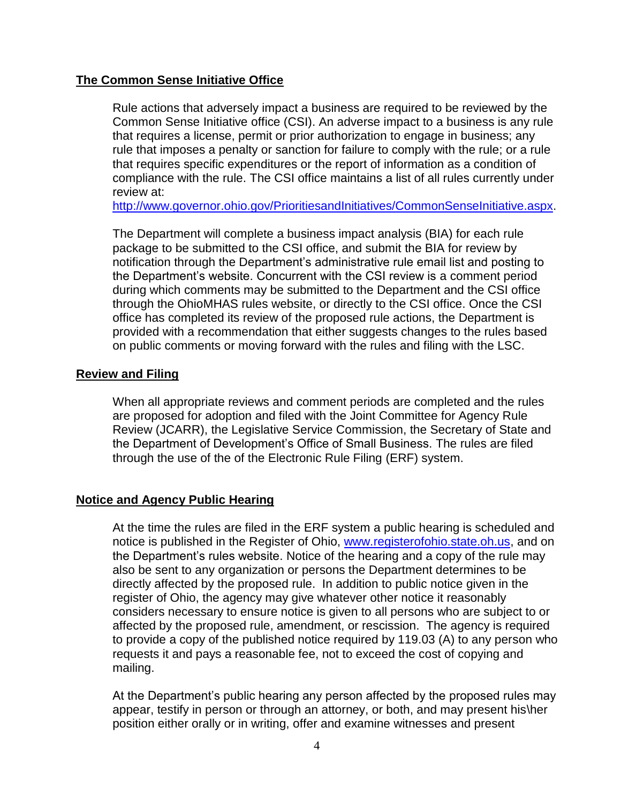#### **The Common Sense Initiative Office**

Rule actions that adversely impact a business are required to be reviewed by the Common Sense Initiative office (CSI). An adverse impact to a business is any rule that requires a license, permit or prior authorization to engage in business; any rule that imposes a penalty or sanction for failure to comply with the rule; or a rule that requires specific expenditures or the report of information as a condition of compliance with the rule. The CSI office maintains a list of all rules currently under review at:

[http://www.governor.ohio.gov/PrioritiesandInitiatives/CommonSenseInitiative.aspx.](http://www.governor.ohio.gov/PrioritiesandInitiatives/CommonSenseInitiative.aspx)

The Department will complete a business impact analysis (BIA) for each rule package to be submitted to the CSI office, and submit the BIA for review by notification through the Department's administrative rule email list and posting to the Department's website. Concurrent with the CSI review is a comment period during which comments may be submitted to the Department and the CSI office through the OhioMHAS rules website, or directly to the CSI office. Once the CSI office has completed its review of the proposed rule actions, the Department is provided with a recommendation that either suggests changes to the rules based on public comments or moving forward with the rules and filing with the LSC.

#### **Review and Filing**

When all appropriate reviews and comment periods are completed and the rules are proposed for adoption and filed with the Joint Committee for Agency Rule Review (JCARR), the Legislative Service Commission, the Secretary of State and the Department of Development's Office of Small Business. The rules are filed through the use of the of the Electronic Rule Filing (ERF) system.

#### **Notice and Agency Public Hearing**

At the time the rules are filed in the ERF system a public hearing is scheduled and notice is published in the Register of Ohio, [www.registerofohio.state.oh.us,](http://www.registerofohio.state.oh.us/) and on the Department's rules website. Notice of the hearing and a copy of the rule may also be sent to any organization or persons the Department determines to be directly affected by the proposed rule. In addition to public notice given in the register of Ohio, the agency may give whatever other notice it reasonably considers necessary to ensure notice is given to all persons who are subject to or affected by the proposed rule, amendment, or rescission. The agency is required to provide a copy of the published notice required by 119.03 (A) to any person who requests it and pays a reasonable fee, not to exceed the cost of copying and mailing.

At the Department's public hearing any person affected by the proposed rules may appear, testify in person or through an attorney, or both, and may present his\her position either orally or in writing, offer and examine witnesses and present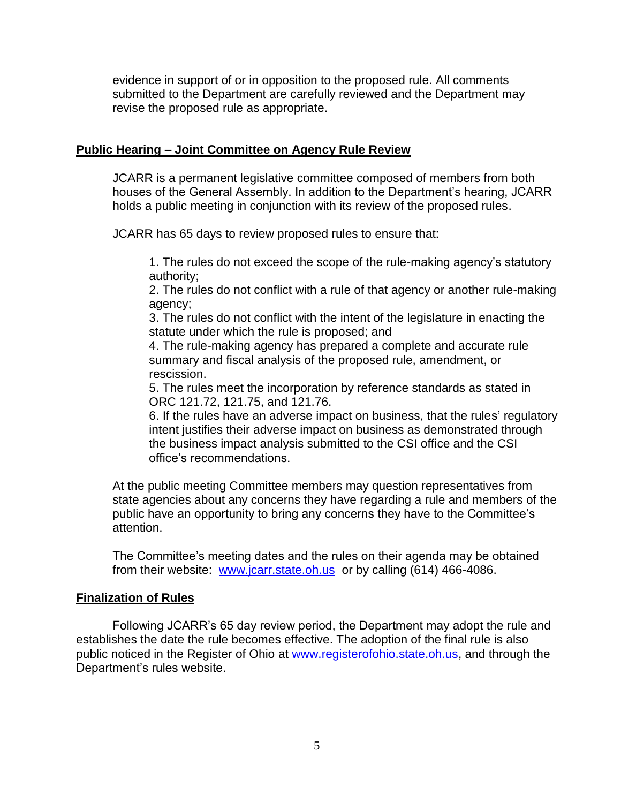evidence in support of or in opposition to the proposed rule. All comments submitted to the Department are carefully reviewed and the Department may revise the proposed rule as appropriate.

## **Public Hearing – Joint Committee on Agency Rule Review**

JCARR is a permanent legislative committee composed of members from both houses of the General Assembly. In addition to the Department's hearing, JCARR holds a public meeting in conjunction with its review of the proposed rules.

JCARR has 65 days to review proposed rules to ensure that:

1. The rules do not exceed the scope of the rule-making agency's statutory authority;

2. The rules do not conflict with a rule of that agency or another rule-making agency;

3. The rules do not conflict with the intent of the legislature in enacting the statute under which the rule is proposed; and

4. The rule-making agency has prepared a complete and accurate rule summary and fiscal analysis of the proposed rule, amendment, or rescission.

5. The rules meet the incorporation by reference standards as stated in ORC 121.72, 121.75, and 121.76.

6. If the rules have an adverse impact on business, that the rules' regulatory intent justifies their adverse impact on business as demonstrated through the business impact analysis submitted to the CSI office and the CSI office's recommendations.

At the public meeting Committee members may question representatives from state agencies about any concerns they have regarding a rule and members of the public have an opportunity to bring any concerns they have to the Committee's attention.

The Committee's meeting dates and the rules on their agenda may be obtained from their website: [www.jcarr.state.oh.us](http://www.jcarr.state.oh.us/) or by calling (614) 466-4086.

## **Finalization of Rules**

Following JCARR's 65 day review period, the Department may adopt the rule and establishes the date the rule becomes effective. The adoption of the final rule is also public noticed in the Register of Ohio at [www.registerofohio.state.oh.us,](http://www.registerofohio.state.oh.us/) and through the Department's rules website.